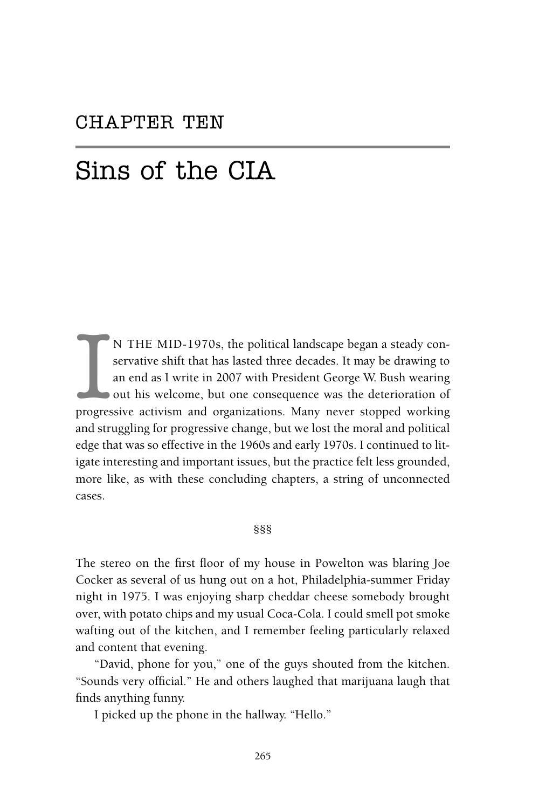# CHAPTER TEN

# Sins of the CIA

N THE MID-1970s, the political landscape began a steady conservative shift that has lasted three decades. It may be drawing to an end as I write in 2007 with President George W. Bush wearing out his welcome, but one consequence was the deterioration of N THE MID-1970s, the political landscape began a steady conservative shift that has lasted three decades. It may be drawing to an end as I write in 2007 with President George W. Bush wearing out his welcome, but one conseq and struggling for progressive change, but we lost the moral and political edge that was so effective in the 1960s and early 1970s. I continued to litigate interesting and important issues, but the practice felt less grounded, more like, as with these concluding chapters, a string of unconnected cases.

# §§§

The stereo on the first floor of my house in Powelton was blaring Joe Cocker as several of us hung out on a hot, Philadelphia-summer Friday night in 1975. I was enjoying sharp cheddar cheese somebody brought over, with potato chips and my usual Coca-Cola. I could smell pot smoke wafting out of the kitchen, and I remember feeling particularly relaxed and content that evening.

"David, phone for you," one of the guys shouted from the kitchen. "Sounds very official." He and others laughed that marijuana laugh that finds anything funny.

I picked up the phone in the hallway. "Hello."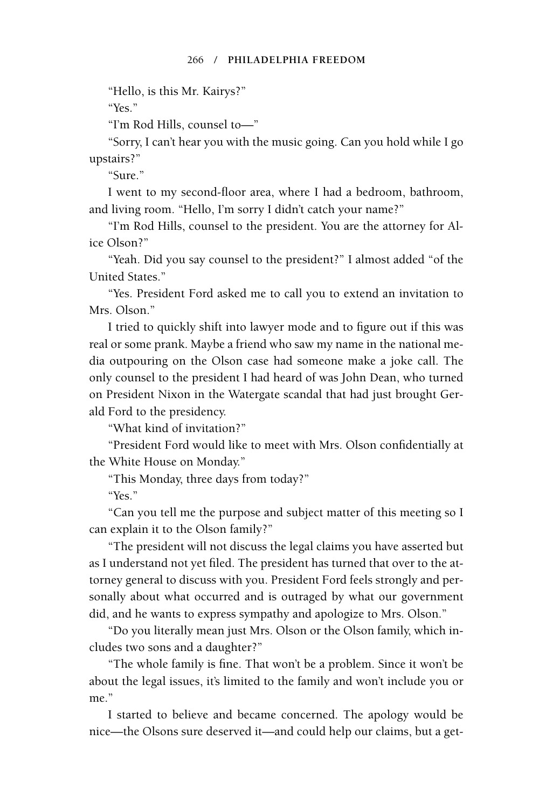"Hello, is this Mr. Kairys?"

"Yes."

"I'm Rod Hills, counsel to—"

"Sorry, I can't hear you with the music going. Can you hold while I go upstairs?"

"Sure."

I went to my second-floor area, where I had a bedroom, bathroom, and living room. "Hello, I'm sorry I didn't catch your name?"

"I'm Rod Hills, counsel to the president. You are the attorney for Alice Olson?"

"Yeah. Did you say counsel to the president?" I almost added "of the United States."

"Yes. President Ford asked me to call you to extend an invitation to Mrs. Olson."

I tried to quickly shift into lawyer mode and to figure out if this was real or some prank. Maybe a friend who saw my name in the national media outpouring on the Olson case had someone make a joke call. The only counsel to the president I had heard of was John Dean, who turned on President Nixon in the Watergate scandal that had just brought Gerald Ford to the presidency.

"What kind of invitation?"

"President Ford would like to meet with Mrs. Olson confidentially at the White House on Monday."

"This Monday, three days from today?"

"Yes."

"Can you tell me the purpose and subject matter of this meeting so I can explain it to the Olson family?"

"The president will not discuss the legal claims you have asserted but as I understand not yet filed. The president has turned that over to the attorney general to discuss with you. President Ford feels strongly and personally about what occurred and is outraged by what our government did, and he wants to express sympathy and apologize to Mrs. Olson."

"Do you literally mean just Mrs. Olson or the Olson family, which includes two sons and a daughter?"

"The whole family is fine. That won't be a problem. Since it won't be about the legal issues, it's limited to the family and won't include you or me."

I started to believe and became concerned. The apology would be nice—the Olsons sure deserved it—and could help our claims, but a get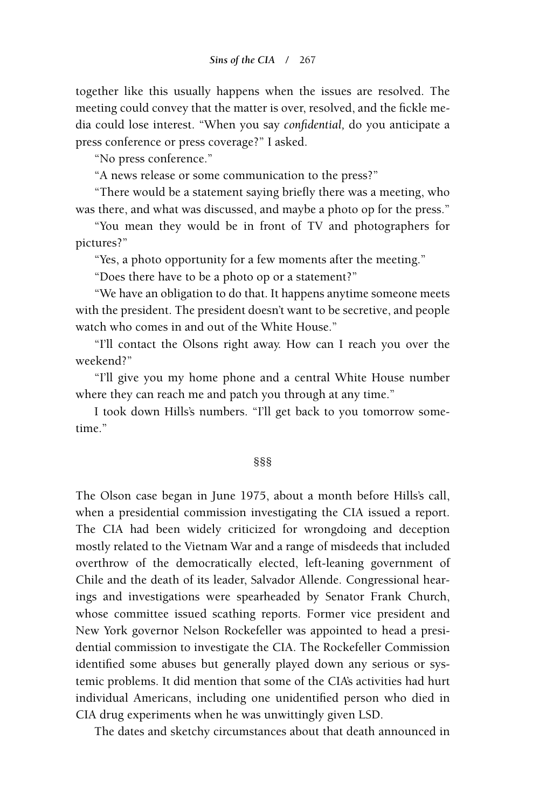together like this usually happens when the issues are resolved. The meeting could convey that the matter is over, resolved, and the fickle media could lose interest. "When you say *confidential*, do you anticipate a press conference or press coverage?" I asked.

"No press conference."

"A news release or some communication to the press?"

"There would be a statement saying briefly there was a meeting, who was there, and what was discussed, and maybe a photo op for the press."

"You mean they would be in front of TV and photographers for pictures?"

"Yes, a photo opportunity for a few moments after the meeting."

"Does there have to be a photo op or a statement?"

"We have an obligation to do that. It happens anytime someone meets with the president. The president doesn't want to be secretive, and people watch who comes in and out of the White House."

"I'll contact the Olsons right away. How can I reach you over the weekend?"

"I'll give you my home phone and a central White House number where they can reach me and patch you through at any time."

I took down Hills's numbers. "I'll get back to you tomorrow sometime."

## §§§

The Olson case began in June 1975, about a month before Hills's call, when a presidential commission investigating the CIA issued a report. The CIA had been widely criticized for wrongdoing and deception mostly related to the Vietnam War and a range of misdeeds that included overthrow of the democratically elected, left-leaning government of Chile and the death of its leader, Salvador Allende. Congressional hearings and investigations were spearheaded by Senator Frank Church, whose committee issued scathing reports. Former vice president and New York governor Nelson Rockefeller was appointed to head a presidential commission to investigate the CIA. The Rockefeller Commission identified some abuses but generally played down any serious or systemic problems. It did mention that some of the CIA's activities had hurt individual Americans, including one unidentified person who died in CIA drug experiments when he was unwittingly given LSD.

The dates and sketchy circumstances about that death announced in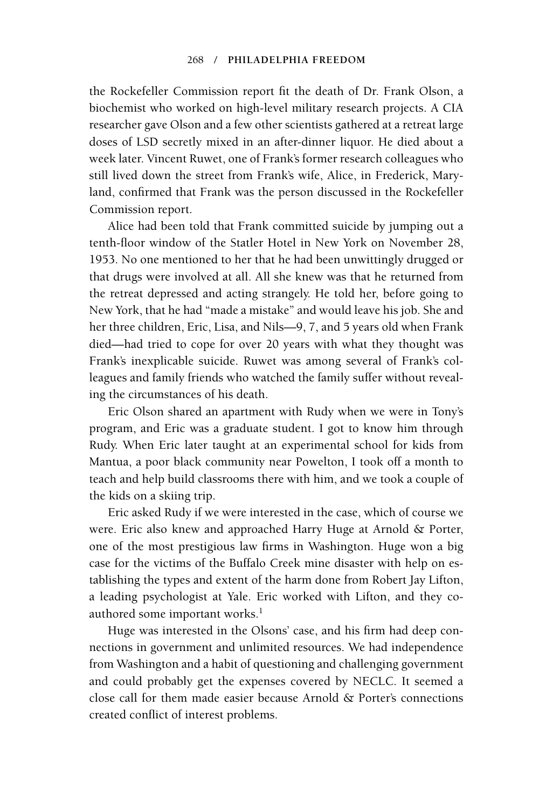the Rockefeller Commission report fit the death of Dr. Frank Olson, a biochemist who worked on high-level military research projects. A CIA researcher gave Olson and a few other scientists gathered at a retreat large doses of LSD secretly mixed in an after-dinner liquor. He died about a week later. Vincent Ruwet, one of Frank's former research colleagues who still lived down the street from Frank's wife, Alice, in Frederick, Maryland, confirmed that Frank was the person discussed in the Rockefeller Commission report.

Alice had been told that Frank committed suicide by jumping out a tenth-floor window of the Statler Hotel in New York on November 28, 1953. No one mentioned to her that he had been unwittingly drugged or that drugs were involved at all. All she knew was that he returned from the retreat depressed and acting strangely. He told her, before going to New York, that he had "made a mistake" and would leave his job. She and her three children, Eric, Lisa, and Nils—9, 7, and 5 years old when Frank died—had tried to cope for over 20 years with what they thought was Frank's inexplicable suicide. Ruwet was among several of Frank's colleagues and family friends who watched the family suffer without revealing the circumstances of his death.

Eric Olson shared an apartment with Rudy when we were in Tony's program, and Eric was a graduate student. I got to know him through Rudy. When Eric later taught at an experimental school for kids from Mantua, a poor black community near Powelton, I took off a month to teach and help build classrooms there with him, and we took a couple of the kids on a skiing trip.

Eric asked Rudy if we were interested in the case, which of course we were. Eric also knew and approached Harry Huge at Arnold & Porter, one of the most prestigious law firms in Washington. Huge won a big case for the victims of the Buffalo Creek mine disaster with help on establishing the types and extent of the harm done from Robert Jay Lifton, a leading psychologist at Yale. Eric worked with Lifton, and they coauthored some important works.<sup>1</sup>

Huge was interested in the Olsons' case, and his firm had deep connections in government and unlimited resources. We had independence from Washington and a habit of questioning and challenging government and could probably get the expenses covered by NECLC. It seemed a close call for them made easier because Arnold & Porter's connections created conflict of interest problems.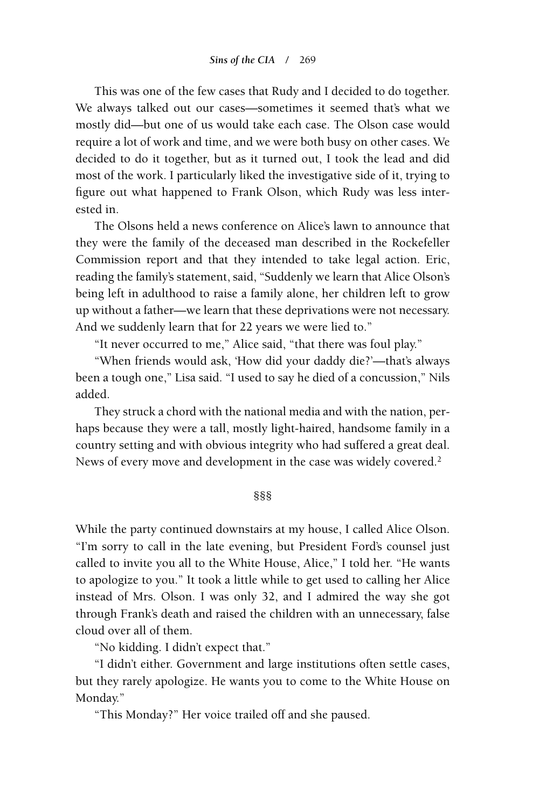This was one of the few cases that Rudy and I decided to do together. We always talked out our cases—sometimes it seemed that's what we mostly did—but one of us would take each case. The Olson case would require a lot of work and time, and we were both busy on other cases. We decided to do it together, but as it turned out, I took the lead and did most of the work. I particularly liked the investigative side of it, trying to figure out what happened to Frank Olson, which Rudy was less interested in.

The Olsons held a news conference on Alice's lawn to announce that they were the family of the deceased man described in the Rockefeller Commission report and that they intended to take legal action. Eric, reading the family's statement, said, "Suddenly we learn that Alice Olson's being left in adulthood to raise a family alone, her children left to grow up without a father—we learn that these deprivations were not necessary. And we suddenly learn that for 22 years we were lied to."

"It never occurred to me," Alice said, "that there was foul play."

"When friends would ask, 'How did your daddy die?'—that's always been a tough one," Lisa said. "I used to say he died of a concussion," Nils added.

They struck a chord with the national media and with the nation, perhaps because they were a tall, mostly light-haired, handsome family in a country setting and with obvious integrity who had suffered a great deal. News of every move and development in the case was widely covered.<sup>2</sup>

### §§§

While the party continued downstairs at my house, I called Alice Olson. "I'm sorry to call in the late evening, but President Ford's counsel just called to invite you all to the White House, Alice," I told her. "He wants to apologize to you." It took a little while to get used to calling her Alice instead of Mrs. Olson. I was only 32, and I admired the way she got through Frank's death and raised the children with an unnecessary, false cloud over all of them.

"No kidding. I didn't expect that."

"I didn't either. Government and large institutions often settle cases, but they rarely apologize. He wants you to come to the White House on Monday."

"This Monday?" Her voice trailed off and she paused.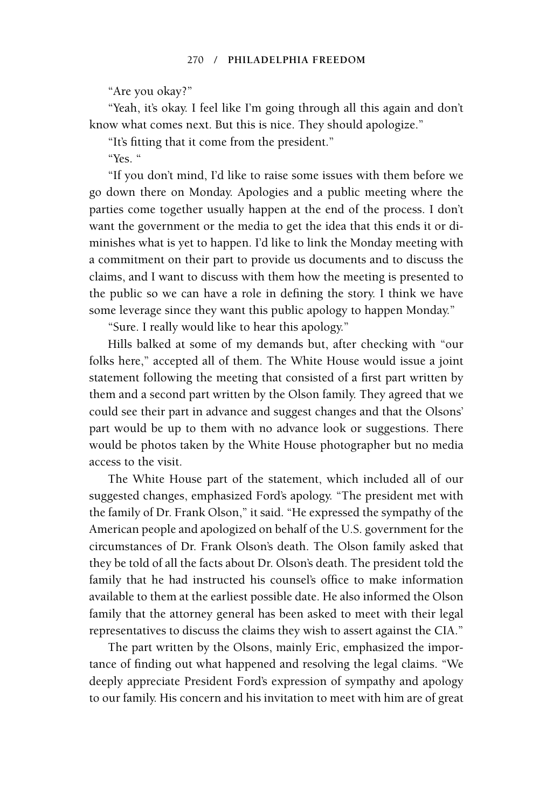"Are you okay?"

"Yeah, it's okay. I feel like I'm going through all this again and don't know what comes next. But this is nice. They should apologize."

"It's fitting that it come from the president."

"Yes. "

"If you don't mind, I'd like to raise some issues with them before we go down there on Monday. Apologies and a public meeting where the parties come together usually happen at the end of the process. I don't want the government or the media to get the idea that this ends it or diminishes what is yet to happen. I'd like to link the Monday meeting with a commitment on their part to provide us documents and to discuss the claims, and I want to discuss with them how the meeting is presented to the public so we can have a role in defining the story. I think we have some leverage since they want this public apology to happen Monday."

"Sure. I really would like to hear this apology."

Hills balked at some of my demands but, after checking with "our folks here," accepted all of them. The White House would issue a joint statement following the meeting that consisted of a first part written by them and a second part written by the Olson family. They agreed that we could see their part in advance and suggest changes and that the Olsons' part would be up to them with no advance look or suggestions. There would be photos taken by the White House photographer but no media access to the visit.

The White House part of the statement, which included all of our suggested changes, emphasized Ford's apology. "The president met with the family of Dr. Frank Olson," it said. "He expressed the sympathy of the American people and apologized on behalf of the U.S. government for the circumstances of Dr. Frank Olson's death. The Olson family asked that they be told of all the facts about Dr. Olson's death. The president told the family that he had instructed his counsel's office to make information available to them at the earliest possible date. He also informed the Olson family that the attorney general has been asked to meet with their legal representatives to discuss the claims they wish to assert against the CIA."

The part written by the Olsons, mainly Eric, emphasized the importance of finding out what happened and resolving the legal claims. "We deeply appreciate President Ford's expression of sympathy and apology to our family. His concern and his invitation to meet with him are of great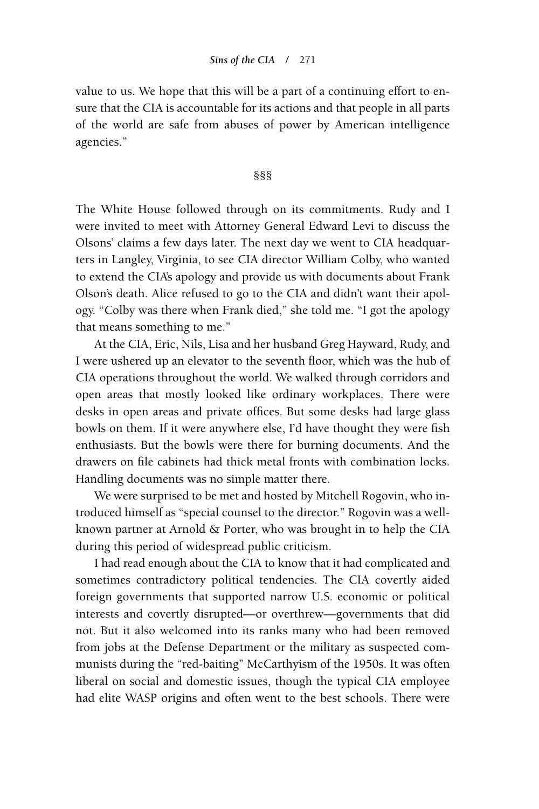value to us. We hope that this will be a part of a continuing effort to ensure that the CIA is accountable for its actions and that people in all parts of the world are safe from abuses of power by American intelligence agencies."

# §§§

The White House followed through on its commitments. Rudy and I were invited to meet with Attorney General Edward Levi to discuss the Olsons' claims a few days later. The next day we went to CIA headquarters in Langley, Virginia, to see CIA director William Colby, who wanted to extend the CIA's apology and provide us with documents about Frank Olson's death. Alice refused to go to the CIA and didn't want their apology. "Colby was there when Frank died," she told me. "I got the apology that means something to me."

At the CIA, Eric, Nils, Lisa and her husband Greg Hayward, Rudy, and I were ushered up an elevator to the seventh floor, which was the hub of CIA operations throughout the world. We walked through corridors and open areas that mostly looked like ordinary workplaces. There were desks in open areas and private offices. But some desks had large glass bowls on them. If it were anywhere else, I'd have thought they were fish enthusiasts. But the bowls were there for burning documents. And the drawers on file cabinets had thick metal fronts with combination locks. Handling documents was no simple matter there.

We were surprised to be met and hosted by Mitchell Rogovin, who introduced himself as "special counsel to the director." Rogovin was a wellknown partner at Arnold & Porter, who was brought in to help the CIA during this period of widespread public criticism.

I had read enough about the CIA to know that it had complicated and sometimes contradictory political tendencies. The CIA covertly aided foreign governments that supported narrow U.S. economic or political interests and covertly disrupted—or overthrew—governments that did not. But it also welcomed into its ranks many who had been removed from jobs at the Defense Department or the military as suspected communists during the "red-baiting" McCarthyism of the 1950s. It was often liberal on social and domestic issues, though the typical CIA employee had elite WASP origins and often went to the best schools. There were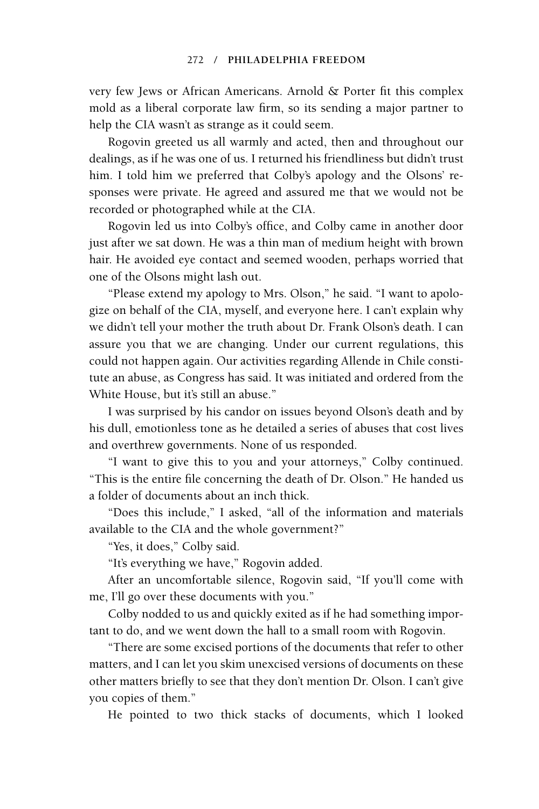very few Jews or African Americans. Arnold & Porter fit this complex mold as a liberal corporate law firm, so its sending a major partner to help the CIA wasn't as strange as it could seem.

Rogovin greeted us all warmly and acted, then and throughout our dealings, as if he was one of us. I returned his friendliness but didn't trust him. I told him we preferred that Colby's apology and the Olsons' responses were private. He agreed and assured me that we would not be recorded or photographed while at the CIA.

Rogovin led us into Colby's office, and Colby came in another door just after we sat down. He was a thin man of medium height with brown hair. He avoided eye contact and seemed wooden, perhaps worried that one of the Olsons might lash out.

"Please extend my apology to Mrs. Olson," he said. "I want to apologize on behalf of the CIA, myself, and everyone here. I can't explain why we didn't tell your mother the truth about Dr. Frank Olson's death. I can assure you that we are changing. Under our current regulations, this could not happen again. Our activities regarding Allende in Chile constitute an abuse, as Congress has said. It was initiated and ordered from the White House, but it's still an abuse."

I was surprised by his candor on issues beyond Olson's death and by his dull, emotionless tone as he detailed a series of abuses that cost lives and overthrew governments. None of us responded.

"I want to give this to you and your attorneys," Colby continued. "This is the entire file concerning the death of Dr. Olson." He handed us a folder of documents about an inch thick.

"Does this include," I asked, "all of the information and materials available to the CIA and the whole government?"

"Yes, it does," Colby said.

"It's everything we have," Rogovin added.

After an uncomfortable silence, Rogovin said, "If you'll come with me, I'll go over these documents with you."

Colby nodded to us and quickly exited as if he had something important to do, and we went down the hall to a small room with Rogovin.

"There are some excised portions of the documents that refer to other matters, and I can let you skim unexcised versions of documents on these other matters briefly to see that they don't mention Dr. Olson. I can't give you copies of them."

He pointed to two thick stacks of documents, which I looked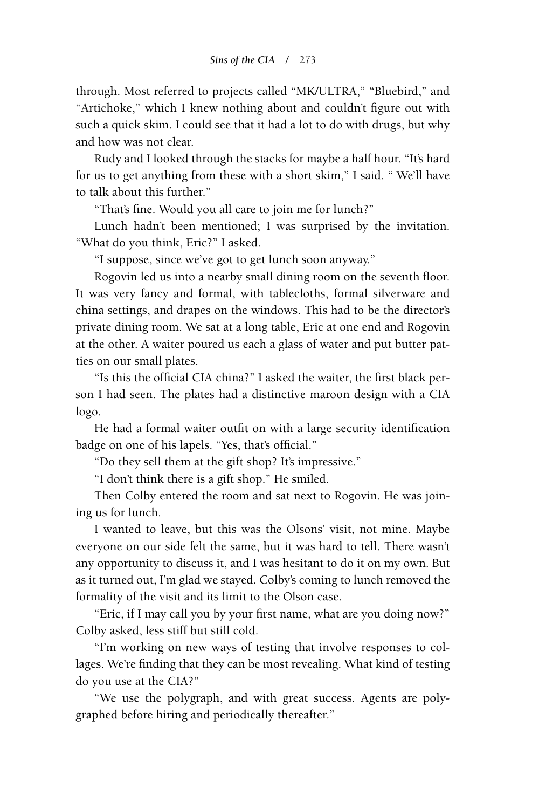through. Most referred to projects called "MK/ULTRA," "Bluebird," and "Artichoke," which I knew nothing about and couldn't figure out with such a quick skim. I could see that it had a lot to do with drugs, but why and how was not clear.

Rudy and I looked through the stacks for maybe a half hour. "It's hard for us to get anything from these with a short skim," I said. " We'll have to talk about this further."

"That's fine. Would you all care to join me for lunch?"

Lunch hadn't been mentioned; I was surprised by the invitation. "What do you think, Eric?" I asked.

"I suppose, since we've got to get lunch soon anyway."

Rogovin led us into a nearby small dining room on the seventh floor. It was very fancy and formal, with tablecloths, formal silverware and china settings, and drapes on the windows. This had to be the director's private dining room. We sat at a long table, Eric at one end and Rogovin at the other. A waiter poured us each a glass of water and put butter patties on our small plates.

"Is this the official CIA china?" I asked the waiter, the first black person I had seen. The plates had a distinctive maroon design with a CIA logo.

He had a formal waiter outfit on with a large security identification badge on one of his lapels. "Yes, that's official."

"Do they sell them at the gift shop? It's impressive."

"I don't think there is a gift shop." He smiled.

Then Colby entered the room and sat next to Rogovin. He was joining us for lunch.

I wanted to leave, but this was the Olsons' visit, not mine. Maybe everyone on our side felt the same, but it was hard to tell. There wasn't any opportunity to discuss it, and I was hesitant to do it on my own. But as it turned out, I'm glad we stayed. Colby's coming to lunch removed the formality of the visit and its limit to the Olson case.

"Eric, if I may call you by your first name, what are you doing now?" Colby asked, less stiff but still cold.

"I'm working on new ways of testing that involve responses to collages. We're finding that they can be most revealing. What kind of testing do you use at the CIA?"

"We use the polygraph, and with great success. Agents are polygraphed before hiring and periodically thereafter."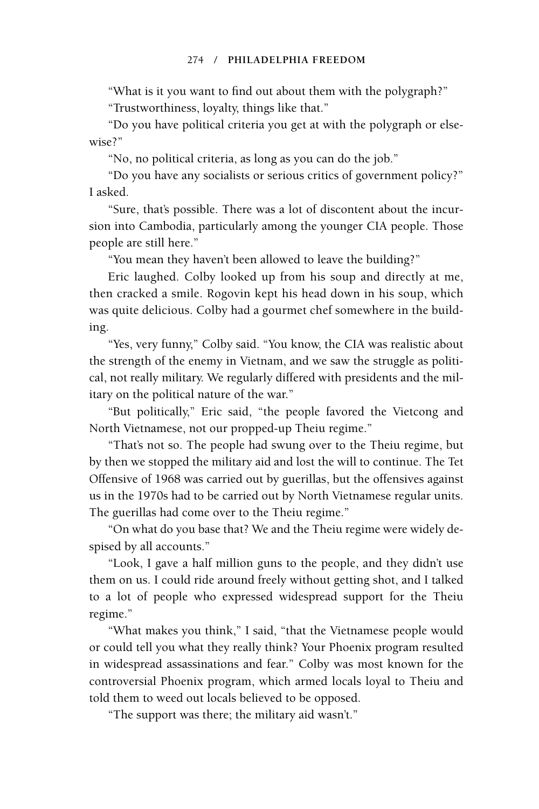"What is it you want to find out about them with the polygraph?"

"Trustworthiness, loyalty, things like that."

"Do you have political criteria you get at with the polygraph or elsewise?"

"No, no political criteria, as long as you can do the job."

"Do you have any socialists or serious critics of government policy?" I asked.

"Sure, that's possible. There was a lot of discontent about the incursion into Cambodia, particularly among the younger CIA people. Those people are still here."

"You mean they haven't been allowed to leave the building?"

Eric laughed. Colby looked up from his soup and directly at me, then cracked a smile. Rogovin kept his head down in his soup, which was quite delicious. Colby had a gourmet chef somewhere in the building.

"Yes, very funny," Colby said. "You know, the CIA was realistic about the strength of the enemy in Vietnam, and we saw the struggle as political, not really military. We regularly differed with presidents and the military on the political nature of the war."

"But politically," Eric said, "the people favored the Vietcong and North Vietnamese, not our propped-up Theiu regime."

"That's not so. The people had swung over to the Theiu regime, but by then we stopped the military aid and lost the will to continue. The Tet Offensive of 1968 was carried out by guerillas, but the offensives against us in the 1970s had to be carried out by North Vietnamese regular units. The guerillas had come over to the Theiu regime."

"On what do you base that? We and the Theiu regime were widely despised by all accounts."

"Look, I gave a half million guns to the people, and they didn't use them on us. I could ride around freely without getting shot, and I talked to a lot of people who expressed widespread support for the Theiu regime."

"What makes you think," I said, "that the Vietnamese people would or could tell you what they really think? Your Phoenix program resulted in widespread assassinations and fear." Colby was most known for the controversial Phoenix program, which armed locals loyal to Theiu and told them to weed out locals believed to be opposed.

"The support was there; the military aid wasn't."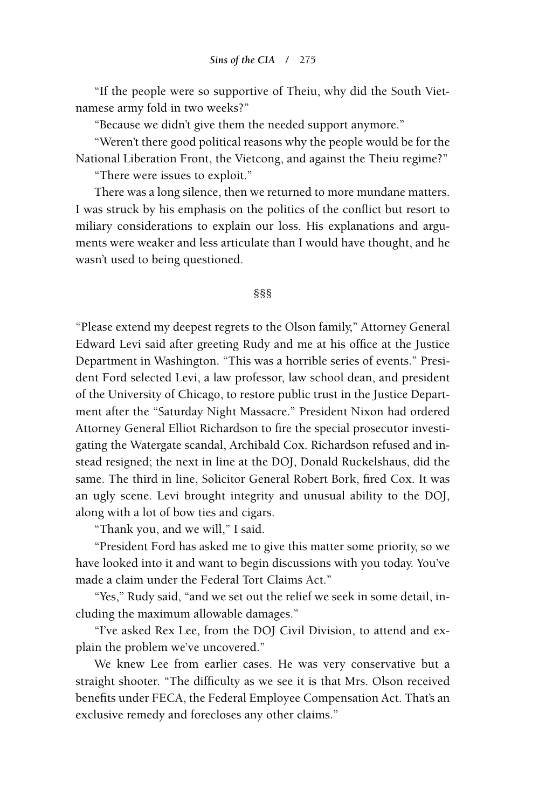"If the people were so supportive of Theiu, why did the South Vietnamese army fold in two weeks?"

"Because we didn't give them the needed support anymore."

"Weren't there good political reasons why the people would be for the National Liberation Front, the Vietcong, and against the Theiu regime?"

"There were issues to exploit."

There was a long silence, then we returned to more mundane matters. I was struck by his emphasis on the politics of the conflict but resort to miliary considerations to explain our loss. His explanations and arguments were weaker and less articulate than I would have thought, and he wasn't used to being questioned.

#### §§§

"Please extend my deepest regrets to the Olson family," Attorney General Edward Levi said after greeting Rudy and me at his office at the Justice Department in Washington. "This was a horrible series of events." President Ford selected Levi, a law professor, law school dean, and president of the University of Chicago, to restore public trust in the Justice Department after the "Saturday Night Massacre." President Nixon had ordered Attorney General Elliot Richardson to fire the special prosecutor investigating the Watergate scandal, Archibald Cox. Richardson refused and instead resigned; the next in line at the DOJ, Donald Ruckelshaus, did the same. The third in line, Solicitor General Robert Bork, fired Cox. It was an ugly scene. Levi brought integrity and unusual ability to the DOJ, along with a lot of bow ties and cigars.

"Thank you, and we will," I said.

"President Ford has asked me to give this matter some priority, so we have looked into it and want to begin discussions with you today. You've made a claim under the Federal Tort Claims Act."

"Yes," Rudy said, "and we set out the relief we seek in some detail, including the maximum allowable damages."

"I've asked Rex Lee, from the DOJ Civil Division, to attend and explain the problem we've uncovered."

We knew Lee from earlier cases. He was very conservative but a straight shooter. "The difficulty as we see it is that Mrs. Olson received benefits under FECA, the Federal Employee Compensation Act. That's an exclusive remedy and forecloses any other claims."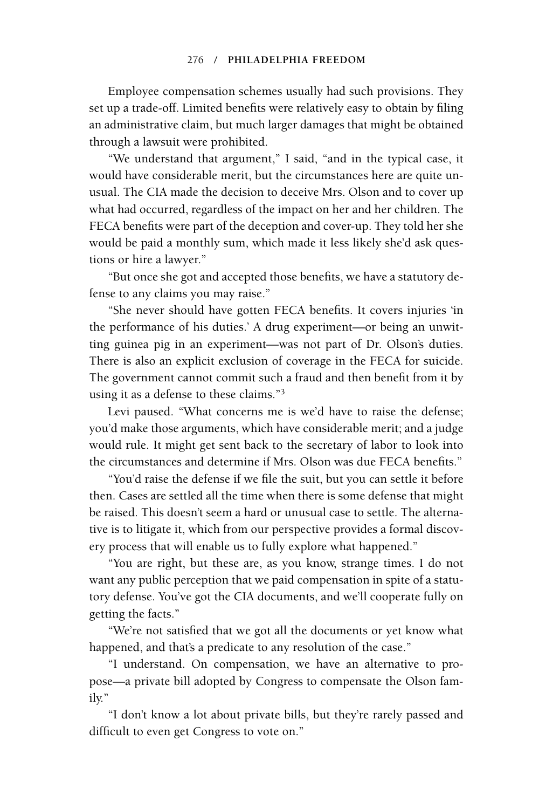Employee compensation schemes usually had such provisions. They set up a trade-off. Limited benefits were relatively easy to obtain by filing an administrative claim, but much larger damages that might be obtained through a lawsuit were prohibited.

"We understand that argument," I said, "and in the typical case, it would have considerable merit, but the circumstances here are quite unusual. The CIA made the decision to deceive Mrs. Olson and to cover up what had occurred, regardless of the impact on her and her children. The FECA benefits were part of the deception and cover-up. They told her she would be paid a monthly sum, which made it less likely she'd ask questions or hire a lawyer."

"But once she got and accepted those benefits, we have a statutory defense to any claims you may raise."

"She never should have gotten FECA benefits. It covers injuries 'in the performance of his duties.' A drug experiment—or being an unwitting guinea pig in an experiment—was not part of Dr. Olson's duties. There is also an explicit exclusion of coverage in the FECA for suicide. The government cannot commit such a fraud and then benefit from it by using it as a defense to these claims."3

Levi paused. "What concerns me is we'd have to raise the defense; you'd make those arguments, which have considerable merit; and a judge would rule. It might get sent back to the secretary of labor to look into the circumstances and determine if Mrs. Olson was due FECA benefits."

"You'd raise the defense if we file the suit, but you can settle it before then. Cases are settled all the time when there is some defense that might be raised. This doesn't seem a hard or unusual case to settle. The alternative is to litigate it, which from our perspective provides a formal discovery process that will enable us to fully explore what happened."

"You are right, but these are, as you know, strange times. I do not want any public perception that we paid compensation in spite of a statutory defense. You've got the CIA documents, and we'll cooperate fully on getting the facts."

"We're not satisfied that we got all the documents or yet know what happened, and that's a predicate to any resolution of the case."

"I understand. On compensation, we have an alternative to propose—a private bill adopted by Congress to compensate the Olson family."

"I don't know a lot about private bills, but they're rarely passed and difficult to even get Congress to vote on."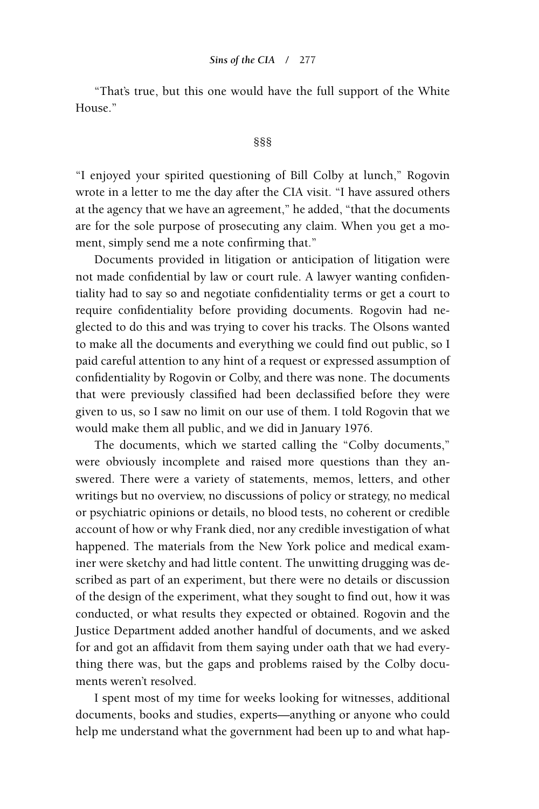"That's true, but this one would have the full support of the White House."

#### §§§

"I enjoyed your spirited questioning of Bill Colby at lunch," Rogovin wrote in a letter to me the day after the CIA visit. "I have assured others at the agency that we have an agreement," he added, "that the documents are for the sole purpose of prosecuting any claim. When you get a moment, simply send me a note confirming that."

Documents provided in litigation or anticipation of litigation were not made confidential by law or court rule. A lawyer wanting confidentiality had to say so and negotiate confidentiality terms or get a court to require confidentiality before providing documents. Rogovin had neglected to do this and was trying to cover his tracks. The Olsons wanted to make all the documents and everything we could find out public, so I paid careful attention to any hint of a request or expressed assumption of confidentiality by Rogovin or Colby, and there was none. The documents that were previously classified had been declassified before they were given to us, so I saw no limit on our use of them. I told Rogovin that we would make them all public, and we did in January 1976.

The documents, which we started calling the "Colby documents," were obviously incomplete and raised more questions than they answered. There were a variety of statements, memos, letters, and other writings but no overview, no discussions of policy or strategy, no medical or psychiatric opinions or details, no blood tests, no coherent or credible account of how or why Frank died, nor any credible investigation of what happened. The materials from the New York police and medical examiner were sketchy and had little content. The unwitting drugging was described as part of an experiment, but there were no details or discussion of the design of the experiment, what they sought to find out, how it was conducted, or what results they expected or obtained. Rogovin and the Justice Department added another handful of documents, and we asked for and got an affidavit from them saying under oath that we had everything there was, but the gaps and problems raised by the Colby documents weren't resolved.

I spent most of my time for weeks looking for witnesses, additional documents, books and studies, experts—anything or anyone who could help me understand what the government had been up to and what hap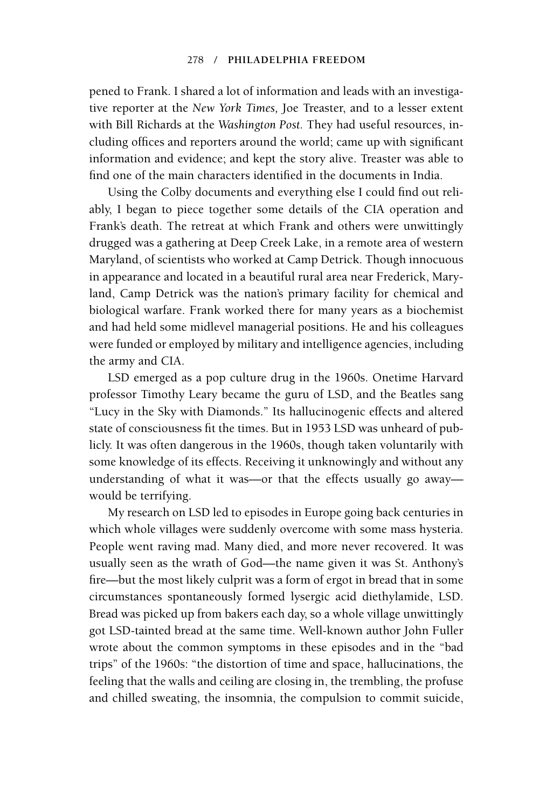pened to Frank. I shared a lot of information and leads with an investigative reporter at the *New York Times,* Joe Treaster, and to a lesser extent with Bill Richards at the *Washington Post.* They had useful resources, including offices and reporters around the world; came up with significant information and evidence; and kept the story alive. Treaster was able to find one of the main characters identified in the documents in India.

Using the Colby documents and everything else I could find out reliably, I began to piece together some details of the CIA operation and Frank's death. The retreat at which Frank and others were unwittingly drugged was a gathering at Deep Creek Lake, in a remote area of western Maryland, of scientists who worked at Camp Detrick. Though innocuous in appearance and located in a beautiful rural area near Frederick, Maryland, Camp Detrick was the nation's primary facility for chemical and biological warfare. Frank worked there for many years as a biochemist and had held some midlevel managerial positions. He and his colleagues were funded or employed by military and intelligence agencies, including the army and CIA.

LSD emerged as a pop culture drug in the 1960s. Onetime Harvard professor Timothy Leary became the guru of LSD, and the Beatles sang "Lucy in the Sky with Diamonds." Its hallucinogenic effects and altered state of consciousness fit the times. But in 1953 LSD was unheard of publicly. It was often dangerous in the 1960s, though taken voluntarily with some knowledge of its effects. Receiving it unknowingly and without any understanding of what it was—or that the effects usually go away would be terrifying.

My research on LSD led to episodes in Europe going back centuries in which whole villages were suddenly overcome with some mass hysteria. People went raving mad. Many died, and more never recovered. It was usually seen as the wrath of God—the name given it was St. Anthony's fire—but the most likely culprit was a form of ergot in bread that in some circumstances spontaneously formed lysergic acid diethylamide, LSD. Bread was picked up from bakers each day, so a whole village unwittingly got LSD-tainted bread at the same time. Well-known author John Fuller wrote about the common symptoms in these episodes and in the "bad trips" of the 1960s: "the distortion of time and space, hallucinations, the feeling that the walls and ceiling are closing in, the trembling, the profuse and chilled sweating, the insomnia, the compulsion to commit suicide,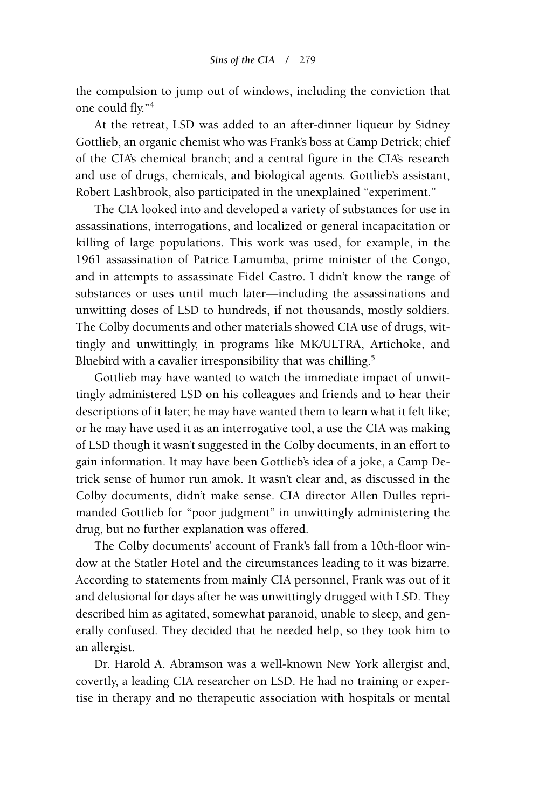the compulsion to jump out of windows, including the conviction that one could fly."<sup>4</sup>

At the retreat, LSD was added to an after-dinner liqueur by Sidney Gottlieb, an organic chemist who was Frank's boss at Camp Detrick; chief of the CIA's chemical branch; and a central figure in the CIA's research and use of drugs, chemicals, and biological agents. Gottlieb's assistant, Robert Lashbrook, also participated in the unexplained "experiment."

The CIA looked into and developed a variety of substances for use in assassinations, interrogations, and localized or general incapacitation or killing of large populations. This work was used, for example, in the 1961 assassination of Patrice Lamumba, prime minister of the Congo, and in attempts to assassinate Fidel Castro. I didn't know the range of substances or uses until much later—including the assassinations and unwitting doses of LSD to hundreds, if not thousands, mostly soldiers. The Colby documents and other materials showed CIA use of drugs, wittingly and unwittingly, in programs like MK/ULTRA, Artichoke, and Bluebird with a cavalier irresponsibility that was chilling.<sup>5</sup>

Gottlieb may have wanted to watch the immediate impact of unwittingly administered LSD on his colleagues and friends and to hear their descriptions of it later; he may have wanted them to learn what it felt like; or he may have used it as an interrogative tool, a use the CIA was making of LSD though it wasn't suggested in the Colby documents, in an effort to gain information. It may have been Gottlieb's idea of a joke, a Camp Detrick sense of humor run amok. It wasn't clear and, as discussed in the Colby documents, didn't make sense. CIA director Allen Dulles reprimanded Gottlieb for "poor judgment" in unwittingly administering the drug, but no further explanation was offered.

The Colby documents' account of Frank's fall from a 10th-floor window at the Statler Hotel and the circumstances leading to it was bizarre. According to statements from mainly CIA personnel, Frank was out of it and delusional for days after he was unwittingly drugged with LSD. They described him as agitated, somewhat paranoid, unable to sleep, and generally confused. They decided that he needed help, so they took him to an allergist.

Dr. Harold A. Abramson was a well-known New York allergist and, covertly, a leading CIA researcher on LSD. He had no training or expertise in therapy and no therapeutic association with hospitals or mental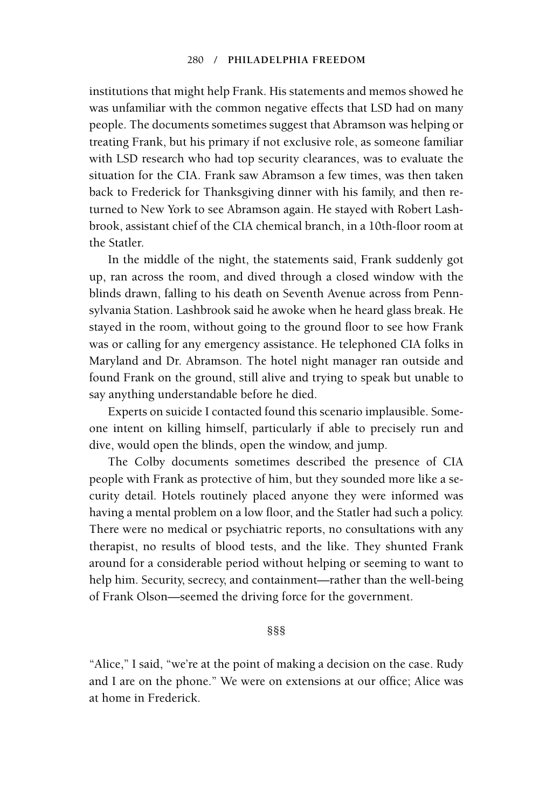institutions that might help Frank. His statements and memos showed he was unfamiliar with the common negative effects that LSD had on many people. The documents sometimes suggest that Abramson was helping or treating Frank, but his primary if not exclusive role, as someone familiar with LSD research who had top security clearances, was to evaluate the situation for the CIA. Frank saw Abramson a few times, was then taken back to Frederick for Thanksgiving dinner with his family, and then returned to New York to see Abramson again. He stayed with Robert Lashbrook, assistant chief of the CIA chemical branch, in a 10th-floor room at the Statler.

In the middle of the night, the statements said, Frank suddenly got up, ran across the room, and dived through a closed window with the blinds drawn, falling to his death on Seventh Avenue across from Pennsylvania Station. Lashbrook said he awoke when he heard glass break. He stayed in the room, without going to the ground floor to see how Frank was or calling for any emergency assistance. He telephoned CIA folks in Maryland and Dr. Abramson. The hotel night manager ran outside and found Frank on the ground, still alive and trying to speak but unable to say anything understandable before he died.

Experts on suicide I contacted found this scenario implausible. Someone intent on killing himself, particularly if able to precisely run and dive, would open the blinds, open the window, and jump.

The Colby documents sometimes described the presence of CIA people with Frank as protective of him, but they sounded more like a security detail. Hotels routinely placed anyone they were informed was having a mental problem on a low floor, and the Statler had such a policy. There were no medical or psychiatric reports, no consultations with any therapist, no results of blood tests, and the like. They shunted Frank around for a considerable period without helping or seeming to want to help him. Security, secrecy, and containment—rather than the well-being of Frank Olson—seemed the driving force for the government.

#### §§§

"Alice," I said, "we're at the point of making a decision on the case. Rudy and I are on the phone." We were on extensions at our office; Alice was at home in Frederick.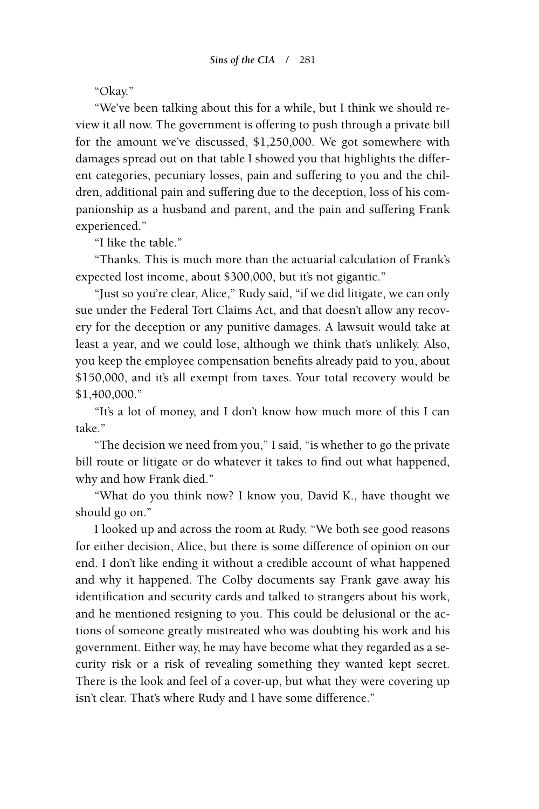"Okay."

"We've been talking about this for a while, but I think we should review it all now. The government is offering to push through a private bill for the amount we've discussed, \$1,250,000. We got somewhere with damages spread out on that table I showed you that highlights the different categories, pecuniary losses, pain and suffering to you and the children, additional pain and suffering due to the deception, loss of his companionship as a husband and parent, and the pain and suffering Frank experienced."

"I like the table."

"Thanks. This is much more than the actuarial calculation of Frank's expected lost income, about \$300,000, but it's not gigantic."

"Just so you're clear, Alice," Rudy said, "if we did litigate, we can only sue under the Federal Tort Claims Act, and that doesn't allow any recovery for the deception or any punitive damages. A lawsuit would take at least a year, and we could lose, although we think that's unlikely. Also, you keep the employee compensation benefits already paid to you, about \$150,000, and it's all exempt from taxes. Your total recovery would be \$1,400,000."

"It's a lot of money, and I don't know how much more of this I can take."

"The decision we need from you," I said, "is whether to go the private bill route or litigate or do whatever it takes to find out what happened, why and how Frank died."

"What do you think now? I know you, David K., have thought we should go on."

I looked up and across the room at Rudy. "We both see good reasons for either decision, Alice, but there is some difference of opinion on our end. I don't like ending it without a credible account of what happened and why it happened. The Colby documents say Frank gave away his identification and security cards and talked to strangers about his work, and he mentioned resigning to you. This could be delusional or the actions of someone greatly mistreated who was doubting his work and his government. Either way, he may have become what they regarded as a security risk or a risk of revealing something they wanted kept secret. There is the look and feel of a cover-up, but what they were covering up isn't clear. That's where Rudy and I have some difference."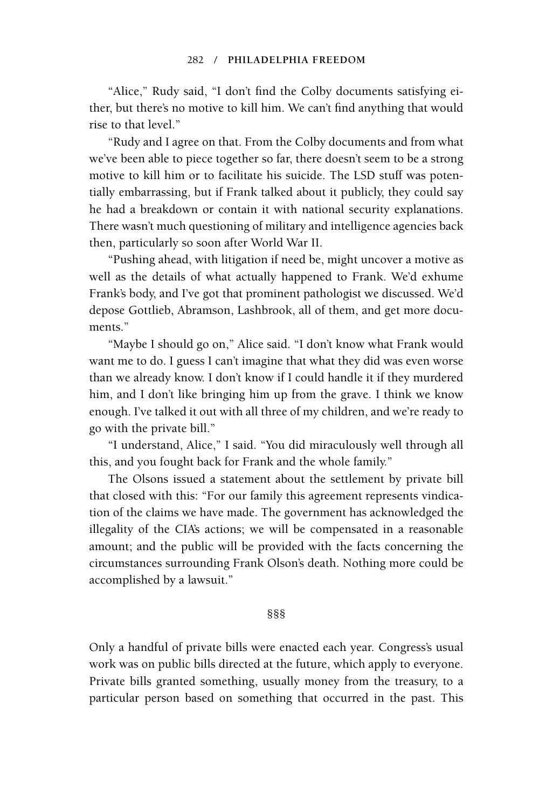"Alice," Rudy said, "I don't find the Colby documents satisfying either, but there's no motive to kill him. We can't find anything that would rise to that level."

"Rudy and I agree on that. From the Colby documents and from what we've been able to piece together so far, there doesn't seem to be a strong motive to kill him or to facilitate his suicide. The LSD stuff was potentially embarrassing, but if Frank talked about it publicly, they could say he had a breakdown or contain it with national security explanations. There wasn't much questioning of military and intelligence agencies back then, particularly so soon after World War II.

"Pushing ahead, with litigation if need be, might uncover a motive as well as the details of what actually happened to Frank. We'd exhume Frank's body, and I've got that prominent pathologist we discussed. We'd depose Gottlieb, Abramson, Lashbrook, all of them, and get more documents."

"Maybe I should go on," Alice said. "I don't know what Frank would want me to do. I guess I can't imagine that what they did was even worse than we already know. I don't know if I could handle it if they murdered him, and I don't like bringing him up from the grave. I think we know enough. I've talked it out with all three of my children, and we're ready to go with the private bill."

"I understand, Alice," I said. "You did miraculously well through all this, and you fought back for Frank and the whole family."

The Olsons issued a statement about the settlement by private bill that closed with this: "For our family this agreement represents vindication of the claims we have made. The government has acknowledged the illegality of the CIA's actions; we will be compensated in a reasonable amount; and the public will be provided with the facts concerning the circumstances surrounding Frank Olson's death. Nothing more could be accomplished by a lawsuit."

§§§

Only a handful of private bills were enacted each year. Congress's usual work was on public bills directed at the future, which apply to everyone. Private bills granted something, usually money from the treasury, to a particular person based on something that occurred in the past. This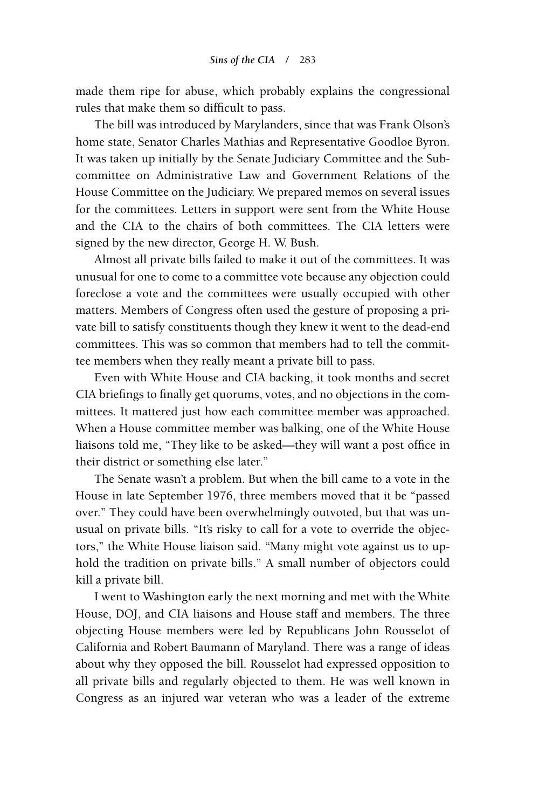made them ripe for abuse, which probably explains the congressional rules that make them so difficult to pass.

The bill was introduced by Marylanders, since that was Frank Olson's home state, Senator Charles Mathias and Representative Goodloe Byron. It was taken up initially by the Senate Judiciary Committee and the Subcommittee on Administrative Law and Government Relations of the House Committee on the Judiciary. We prepared memos on several issues for the committees. Letters in support were sent from the White House and the CIA to the chairs of both committees. The CIA letters were signed by the new director, George H. W. Bush.

Almost all private bills failed to make it out of the committees. It was unusual for one to come to a committee vote because any objection could foreclose a vote and the committees were usually occupied with other matters. Members of Congress often used the gesture of proposing a private bill to satisfy constituents though they knew it went to the dead-end committees. This was so common that members had to tell the committee members when they really meant a private bill to pass.

Even with White House and CIA backing, it took months and secret CIA briefings to finally get quorums, votes, and no objections in the committees. It mattered just how each committee member was approached. When a House committee member was balking, one of the White House liaisons told me, "They like to be asked—they will want a post office in their district or something else later."

The Senate wasn't a problem. But when the bill came to a vote in the House in late September 1976, three members moved that it be "passed over." They could have been overwhelmingly outvoted, but that was unusual on private bills. "It's risky to call for a vote to override the objectors," the White House liaison said. "Many might vote against us to uphold the tradition on private bills." A small number of objectors could kill a private bill.

I went to Washington early the next morning and met with the White House, DOJ, and CIA liaisons and House staff and members. The three objecting House members were led by Republicans John Rousselot of California and Robert Baumann of Maryland. There was a range of ideas about why they opposed the bill. Rousselot had expressed opposition to all private bills and regularly objected to them. He was well known in Congress as an injured war veteran who was a leader of the extreme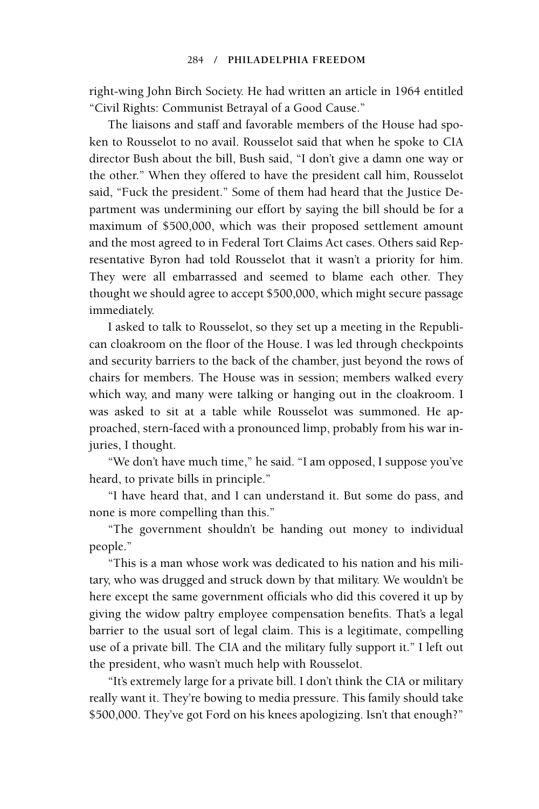right-wing John Birch Society. He had written an article in 1964 entitled "Civil Rights: Communist Betrayal of a Good Cause."

The liaisons and staff and favorable members of the House had spoken to Rousselot to no avail. Rousselot said that when he spoke to CIA director Bush about the bill, Bush said, "I don't give a damn one way or the other." When they offered to have the president call him, Rousselot said, "Fuck the president." Some of them had heard that the Justice Department was undermining our effort by saying the bill should be for a maximum of \$500,000, which was their proposed settlement amount and the most agreed to in Federal Tort Claims Act cases. Others said Representative Byron had told Rousselot that it wasn't a priority for him. They were all embarrassed and seemed to blame each other. They thought we should agree to accept \$500,000, which might secure passage immediately.

I asked to talk to Rousselot, so they set up a meeting in the Republican cloakroom on the floor of the House. I was led through checkpoints and security barriers to the back of the chamber, just beyond the rows of chairs for members. The House was in session; members walked every which way, and many were talking or hanging out in the cloakroom. I was asked to sit at a table while Rousselot was summoned. He approached, stern-faced with a pronounced limp, probably from his war injuries, I thought.

"We don't have much time," he said. "I am opposed, I suppose you've heard, to private bills in principle."

"I have heard that, and I can understand it. But some do pass, and none is more compelling than this."

"The government shouldn't be handing out money to individual people."

"This is a man whose work was dedicated to his nation and his military, who was drugged and struck down by that military. We wouldn't be here except the same government officials who did this covered it up by giving the widow paltry employee compensation benefits. That's a legal barrier to the usual sort of legal claim. This is a legitimate, compelling use of a private bill. The CIA and the military fully support it." I left out the president, who wasn't much help with Rousselot.

"It's extremely large for a private bill. I don't think the CIA or military really want it. They're bowing to media pressure. This family should take \$500,000. They've got Ford on his knees apologizing. Isn't that enough?"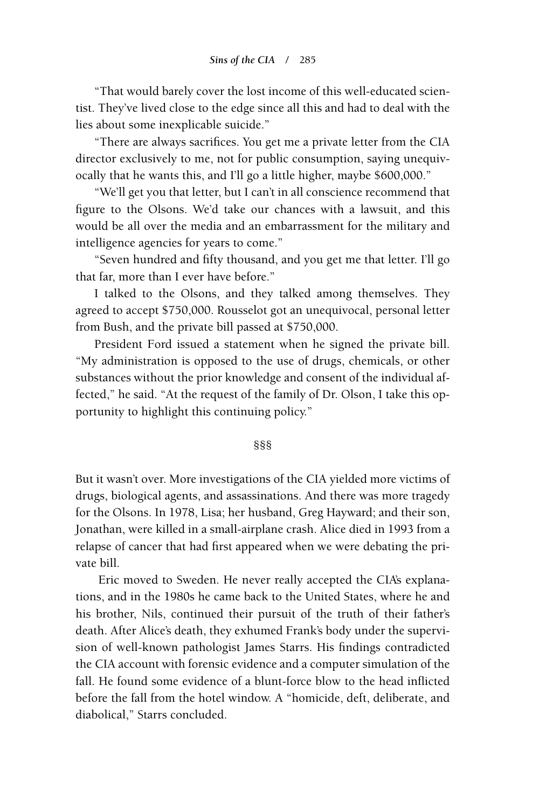"That would barely cover the lost income of this well-educated scientist. They've lived close to the edge since all this and had to deal with the lies about some inexplicable suicide."

"There are always sacrifices. You get me a private letter from the CIA director exclusively to me, not for public consumption, saying unequivocally that he wants this, and I'll go a little higher, maybe \$600,000."

"We'll get you that letter, but I can't in all conscience recommend that figure to the Olsons. We'd take our chances with a lawsuit, and this would be all over the media and an embarrassment for the military and intelligence agencies for years to come."

"Seven hundred and fifty thousand, and you get me that letter. I'll go that far, more than I ever have before."

I talked to the Olsons, and they talked among themselves. They agreed to accept \$750,000. Rousselot got an unequivocal, personal letter from Bush, and the private bill passed at \$750,000.

President Ford issued a statement when he signed the private bill. "My administration is opposed to the use of drugs, chemicals, or other substances without the prior knowledge and consent of the individual affected," he said. "At the request of the family of Dr. Olson, I take this opportunity to highlight this continuing policy."

# §§§

But it wasn't over. More investigations of the CIA yielded more victims of drugs, biological agents, and assassinations. And there was more tragedy for the Olsons. In 1978, Lisa; her husband, Greg Hayward; and their son, Jonathan, were killed in a small-airplane crash. Alice died in 1993 from a relapse of cancer that had first appeared when we were debating the private bill.

Eric moved to Sweden. He never really accepted the CIA's explanations, and in the 1980s he came back to the United States, where he and his brother, Nils, continued their pursuit of the truth of their father's death. After Alice's death, they exhumed Frank's body under the supervision of well-known pathologist James Starrs. His findings contradicted the CIA account with forensic evidence and a computer simulation of the fall. He found some evidence of a blunt-force blow to the head inflicted before the fall from the hotel window. A "homicide, deft, deliberate, and diabolical," Starrs concluded.